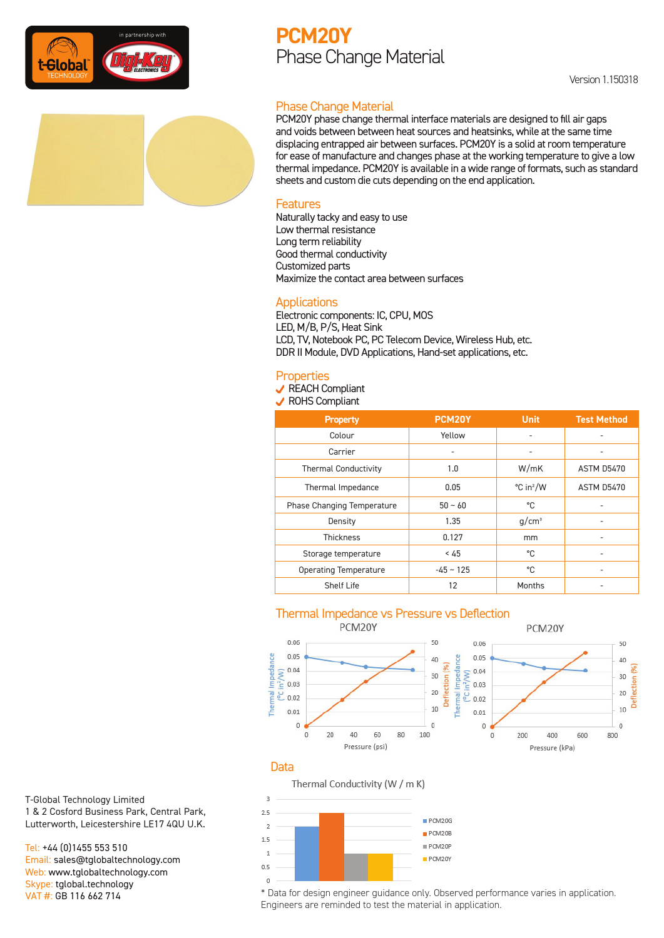

## **PCM20Y** Phase Change Material

### Phase Change Material

PCM20Y phase change thermal interface materials are designed to fill air gaps and voids between between heat sources and heatsinks, while at the same time displacing entrapped air between surfaces. PCM20Y is a solid at room temperature for ease of manufacture and changes phase at the working temperature to give a low thermal impedance. PCM20Y is available in a wide range of formats, such as standard sheets and custom die cuts depending on the end application.

#### Features

Naturally tacky and easy to use Low thermal resistance Long term reliability Good thermal conductivity Customized parts Maximize the contact area between surfaces

#### **Applications**

Electronic components: IC, CPU, MOS LED, M/B, P/S, Heat Sink LCD, TV, Notebook PC, PC Telecom Device, Wireless Hub, etc. DDR II Module, DVD Applications, Hand-set applications, etc.

#### **Properties**

**√** REACH Compliant

**√** ROHS Compliant

| <b>Property</b>              | PCM20Y      | <b>Unit</b>           | <b>Test Method</b> |
|------------------------------|-------------|-----------------------|--------------------|
| Colour                       | Yellow      | ٠                     |                    |
| Carrier                      | ٠           | ٠                     |                    |
| <b>Thermal Conductivity</b>  | 1.0         | W/mK                  | ASTM D5470         |
| Thermal Impedance            | 0.05        | °C in <sup>2</sup> /W | ASTM D5470         |
| Phase Changing Temperature   | $50 - 60$   | °C                    |                    |
| Density                      | 1.35        | $q/cm^3$              |                    |
| <b>Thickness</b>             | 0.127       | mm                    | ٠                  |
| Storage temperature          | < 45        | °C                    |                    |
| <b>Operating Temperature</b> | $-45 - 125$ | °C                    |                    |
| Shelf Life                   | 12          | Months                |                    |

# Thermal Impedance vs Pressure vs Deflection



#### Data

Thermal Conductivity (W / m K)



T-Global Technology Limited 1 & 2 Cosford Business Park, Central Park, Lutterworth, Leicestershire LE17 4QU U.K.

Tel: +44 (0)1455 553 510 Email: sales@tglobaltechnology.com Web: www.tglobaltechnology.com Skype: tglobal.technology VAT #: GB 116 662 714

\* Data for design engineer guidance only. Observed performance varies in application. Engineers are reminded to test the material in application.